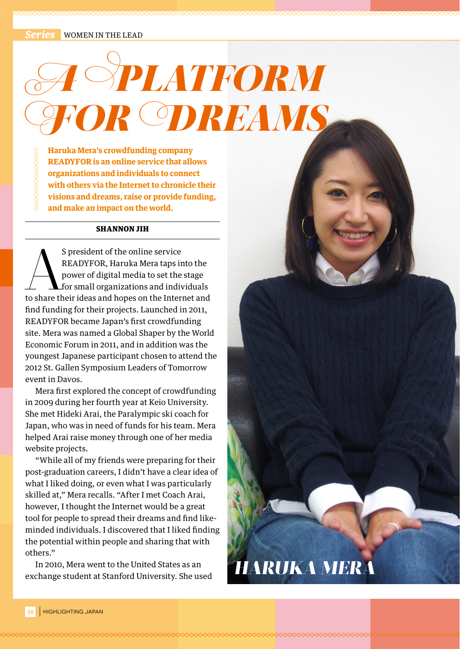**WOMEN IN THE LEAD** 

## *SPLATFORM* **OR ODREAMS**

**Haruka Mera's crowdfunding company READYFOR is an online service that allows organizations and individuals to connect with others via the Internet to chronicle their visions and dreams, raise or provide funding, and make an impact on the world.**

## SHANNON JIH

S president of the online service<br>
READYFOR, Haruka Mera taps into the<br>
power of digital media to set the stage<br>
for small organizations and individuals<br>
to share their ideas and hopes on the Internet and READYFOR, Haruka Mera taps into the power of digital media to set the stage for small organizations and individuals find funding for their projects. Launched in 2011, READYFOR became Japan's first crowdfunding site. Mera was named a Global Shaper by the World Economic Forum in 2011, and in addition was the youngest Japanese participant chosen to attend the 2012 St. Gallen Symposium Leaders of Tomorrow event in Davos.

Mera first explored the concept of crowdfunding in 2009 during her fourth year at Keio University. She met Hideki Arai, the Paralympic ski coach for Japan, who was in need of funds for his team. Mera helped Arai raise money through one of her media website projects.

"While all of my friends were preparing for their post-graduation careers, I didn't have a clear idea of what I liked doing, or even what I was particularly skilled at," Mera recalls. "After I met Coach Arai, however, I thought the Internet would be a great tool for people to spread their dreams and find likeminded individuals. I discovered that I liked finding the potential within people and sharing that with others."

In 2010, Mera went to the United States as an exchange student at Stanford University. She used